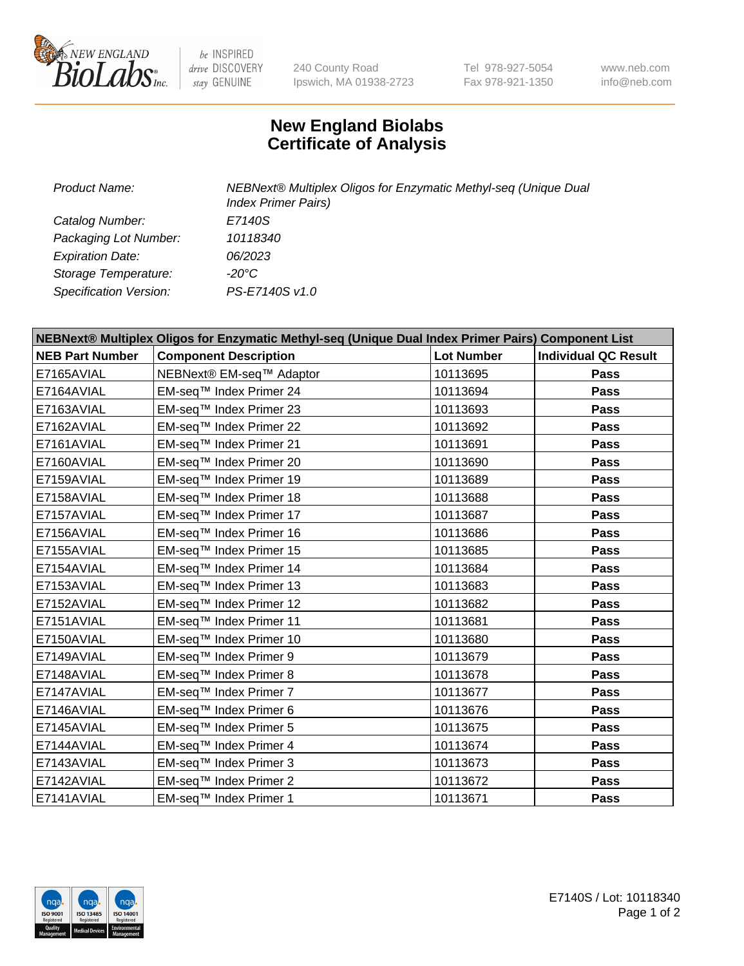

 $be$  INSPIRED drive DISCOVERY stay GENUINE

240 County Road Ipswich, MA 01938-2723 Tel 978-927-5054 Fax 978-921-1350 www.neb.com info@neb.com

## **New England Biolabs Certificate of Analysis**

| <b>Product Name:</b>    | NEBNext® Multiplex Oligos for Enzymatic Methyl-seq (Unique Dual<br><b>Index Primer Pairs)</b> |  |  |
|-------------------------|-----------------------------------------------------------------------------------------------|--|--|
| Catalog Number:         | E7140S                                                                                        |  |  |
| Packaging Lot Number:   | 10118340                                                                                      |  |  |
| <b>Expiration Date:</b> | <i>06/2023</i>                                                                                |  |  |
| Storage Temperature:    | -20°C                                                                                         |  |  |
| Specification Version:  | PS-E7140S v1.0                                                                                |  |  |

| NEBNext® Multiplex Oligos for Enzymatic Methyl-seq (Unique Dual Index Primer Pairs) Component List |                              |                   |                             |  |
|----------------------------------------------------------------------------------------------------|------------------------------|-------------------|-----------------------------|--|
| <b>NEB Part Number</b>                                                                             | <b>Component Description</b> | <b>Lot Number</b> | <b>Individual QC Result</b> |  |
| E7165AVIAL                                                                                         | NEBNext® EM-seq™ Adaptor     | 10113695          | <b>Pass</b>                 |  |
| E7164AVIAL                                                                                         | EM-seq™ Index Primer 24      | 10113694          | <b>Pass</b>                 |  |
| E7163AVIAL                                                                                         | EM-seq™ Index Primer 23      | 10113693          | Pass                        |  |
| E7162AVIAL                                                                                         | EM-seq™ Index Primer 22      | 10113692          | <b>Pass</b>                 |  |
| E7161AVIAL                                                                                         | EM-seq™ Index Primer 21      | 10113691          | <b>Pass</b>                 |  |
| E7160AVIAL                                                                                         | EM-seq™ Index Primer 20      | 10113690          | Pass                        |  |
| E7159AVIAL                                                                                         | EM-seq™ Index Primer 19      | 10113689          | <b>Pass</b>                 |  |
| E7158AVIAL                                                                                         | EM-seq™ Index Primer 18      | 10113688          | <b>Pass</b>                 |  |
| E7157AVIAL                                                                                         | EM-seq™ Index Primer 17      | 10113687          | <b>Pass</b>                 |  |
| E7156AVIAL                                                                                         | EM-seq™ Index Primer 16      | 10113686          | Pass                        |  |
| E7155AVIAL                                                                                         | EM-seq™ Index Primer 15      | 10113685          | <b>Pass</b>                 |  |
| E7154AVIAL                                                                                         | EM-seq™ Index Primer 14      | 10113684          | Pass                        |  |
| E7153AVIAL                                                                                         | EM-seq™ Index Primer 13      | 10113683          | <b>Pass</b>                 |  |
| E7152AVIAL                                                                                         | EM-seq™ Index Primer 12      | 10113682          | Pass                        |  |
| E7151AVIAL                                                                                         | EM-seq™ Index Primer 11      | 10113681          | <b>Pass</b>                 |  |
| E7150AVIAL                                                                                         | EM-seq™ Index Primer 10      | 10113680          | Pass                        |  |
| E7149AVIAL                                                                                         | EM-seq™ Index Primer 9       | 10113679          | <b>Pass</b>                 |  |
| E7148AVIAL                                                                                         | EM-seq™ Index Primer 8       | 10113678          | Pass                        |  |
| E7147AVIAL                                                                                         | EM-seq™ Index Primer 7       | 10113677          | Pass                        |  |
| E7146AVIAL                                                                                         | EM-seq™ Index Primer 6       | 10113676          | Pass                        |  |
| E7145AVIAL                                                                                         | EM-seq™ Index Primer 5       | 10113675          | Pass                        |  |
| E7144AVIAL                                                                                         | EM-seq™ Index Primer 4       | 10113674          | Pass                        |  |
| E7143AVIAL                                                                                         | EM-seq™ Index Primer 3       | 10113673          | Pass                        |  |
| E7142AVIAL                                                                                         | EM-seq™ Index Primer 2       | 10113672          | <b>Pass</b>                 |  |
| E7141AVIAL                                                                                         | EM-seq™ Index Primer 1       | 10113671          | Pass                        |  |